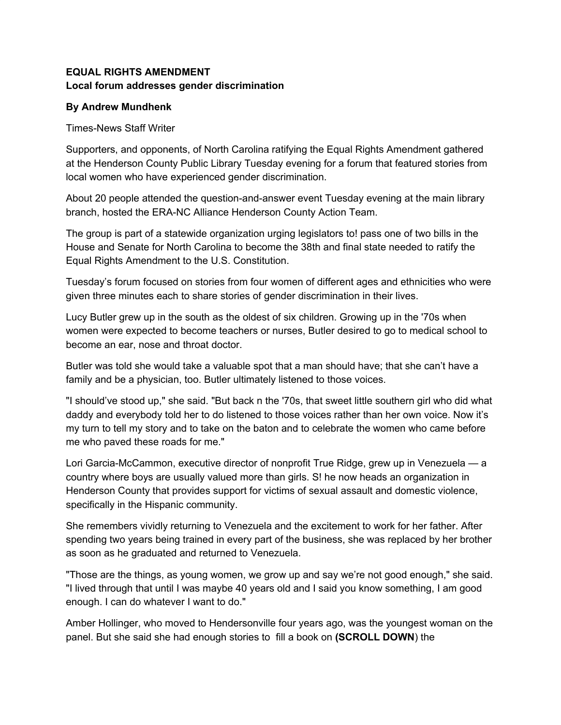## **EQUAL RIGHTS AMENDMENT Local forum addresses gender discrimination**

## **By Andrew Mundhenk**

Times-News Staff Writer

Supporters, and opponents, of North Carolina ratifying the Equal Rights Amendment gathered at the Henderson County Public Library Tuesday evening for a forum that featured stories from local women who have experienced gender discrimination.

About 20 people attended the question-and-answer event Tuesday evening at the main library branch, hosted the ERA-NC Alliance Henderson County Action Team.

The group is part of a statewide organization urging legislators to! pass one of two bills in the House and Senate for North Carolina to become the 38th and final state needed to ratify the Equal Rights Amendment to the U.S. Constitution.

Tuesday's forum focused on stories from four women of different ages and ethnicities who were given three minutes each to share stories of gender discrimination in their lives.

Lucy Butler grew up in the south as the oldest of six children. Growing up in the '70s when women were expected to become teachers or nurses, Butler desired to go to medical school to become an ear, nose and throat doctor.

Butler was told she would take a valuable spot that a man should have; that she can't have a family and be a physician, too. Butler ultimately listened to those voices.

"I should've stood up," she said. "But back n the '70s, that sweet little southern girl who did what daddy and everybody told her to do listened to those voices rather than her own voice. Now it's my turn to tell my story and to take on the baton and to celebrate the women who came before me who paved these roads for me."

Lori Garcia-McCammon, executive director of nonprofit True Ridge, grew up in Venezuela — a country where boys are usually valued more than girls. S! he now heads an organization in Henderson County that provides support for victims of sexual assault and domestic violence, specifically in the Hispanic community.

She remembers vividly returning to Venezuela and the excitement to work for her father. After spending two years being trained in every part of the business, she was replaced by her brother as soon as he graduated and returned to Venezuela.

"Those are the things, as young women, we grow up and say we're not good enough," she said. "I lived through that until I was maybe 40 years old and I said you know something, I am good enough. I can do whatever I want to do."

Amber Hollinger, who moved to Hendersonville four years ago, was the youngest woman on the panel. But she said she had enough stories to fill a book on **(SCROLL DOWN**) the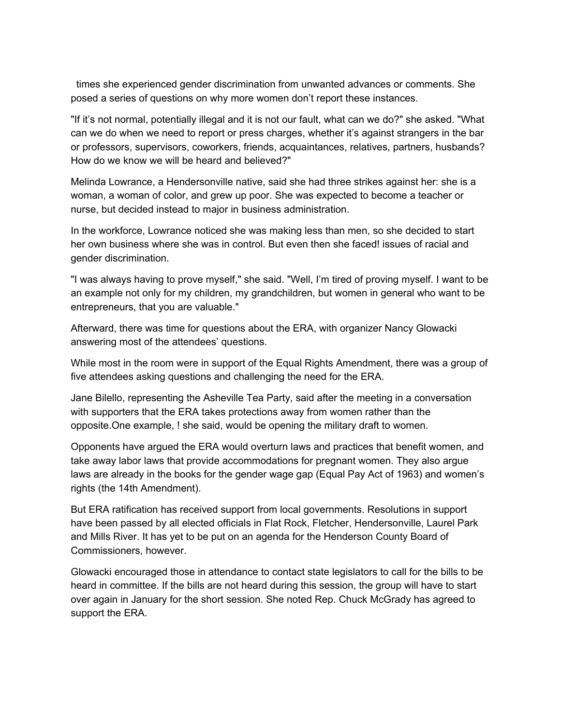times she experienced gender discrimination from unwanted advances or comments. She posed a series of questions on why more women don't report these instances.

"If it's not normal, potentially illegal and it is not our fault, what can we do?" she asked. "What can we do when we need to report or press charges, whether it's against strangers in the bar or professors, supervisors, coworkers, friends, acquaintances, relatives, partners, husbands? How do we know we will be heard and believed?"

Melinda Lowrance, a Hendersonville native, said she had three strikes against her: she is a woman, a woman of color, and grew up poor. She was expected to become a teacher or nurse, but decided instead to major in business administration.

In the workforce, Lowrance noticed she was making less than men, so she decided to start her own business where she was in control. But even then she faced! issues of racial and gender discrimination.

"I was always having to prove myself," she said. "Well, I'm tired of proving myself. I want to be an example not only for my children, my grandchildren, but women in general who want to be entrepreneurs, that you are valuable."

Afterward, there was time for questions about the ERA, with organizer Nancy Glowacki answering most of the attendees' questions.

While most in the room were in support of the Equal Rights Amendment, there was a group of five attendees asking questions and challenging the need for the ERA.

Jane Bilello, representing the Asheville Tea Party, said after the meeting in a conversation with supporters that the ERA takes protections away from women rather than the opposite.One example, ! she said, would be opening the military draft to women.

Opponents have argued the ERA would overturn laws and practices that benefit women, and take away labor laws that provide accommodations for pregnant women. They also argue laws are already in the books for the gender wage gap (Equal Pay Act of 1963) and women's rights (the 14th Amendment).

But ERA ratification has received support from local governments. Resolutions in support have been passed by all elected officials in Flat Rock, Fletcher, Hendersonville, Laurel Park and Mills River. It has yet to be put on an agenda for the Henderson County Board of Commissioners, however.

Glowacki encouraged those in attendance to contact state legislators to call for the bills to be heard in committee. If the bills are not heard during this session, the group will have to start over again in January for the short session. She noted Rep. Chuck McGrady has agreed to support the ERA.